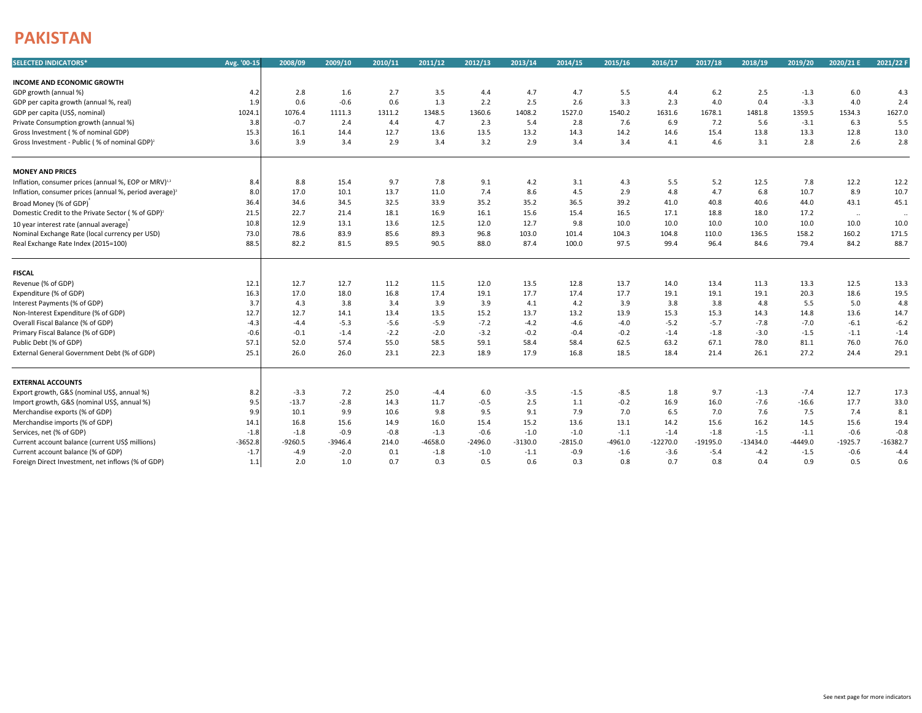## **PAKISTAN**

| <b>SELECTED INDICATORS*</b>                                        | Avg. '00-15 | 2008/09   | 2009/10   | 2010/11 | 2011/12   | 2012/13   | 2013/14   | 2014/15   | 2015/16   | 2016/17    | 2017/18    | 2018/19    | 2019/20   | 2020/21 E | 2021/22 F  |
|--------------------------------------------------------------------|-------------|-----------|-----------|---------|-----------|-----------|-----------|-----------|-----------|------------|------------|------------|-----------|-----------|------------|
| <b>INCOME AND ECONOMIC GROWTH</b>                                  |             |           |           |         |           |           |           |           |           |            |            |            |           |           |            |
| GDP growth (annual %)                                              | 4.2         | 2.8       | 1.6       | 2.7     | 3.5       | 4.4       | 4.7       | 4.7       | 5.5       | 4.4        | 6.2        | 2.5        | $-1.3$    | 6.0       | 4.3        |
| GDP per capita growth (annual %, real)                             | 1.9         | 0.6       | $-0.6$    | 0.6     | 1.3       | 2.2       | 2.5       | 2.6       | 3.3       | 2.3        | 4.0        | 0.4        | $-3.3$    | 4.0       | 2.4        |
| GDP per capita (US\$, nominal)                                     | 1024.1      | 1076.4    | 1111.3    | 1311.2  | 1348.5    | 1360.6    | 1408.2    | 1527.0    | 1540.2    | 1631.6     | 1678.1     | 1481.8     | 1359.5    | 1534.3    | 1627.0     |
| Private Consumption growth (annual %)                              | 3.8         | $-0.7$    | 2.4       | 4.4     | 4.7       | 2.3       | 5.4       | 2.8       | 7.6       | 6.9        | 7.2        | 5.6        | $-3.1$    | 6.3       | 5.5        |
| Gross Investment (% of nominal GDP)                                | 15.3        | 16.1      | 14.4      | 12.7    | 13.6      | 13.5      | 13.2      | 14.3      | 14.2      | 14.6       | 15.4       | 13.8       | 13.3      | 12.8      | 13.0       |
| Gross Investment - Public (% of nominal GDP) <sup>2</sup>          | 3.6         | 3.9       | 3.4       | 2.9     | 3.4       | 3.2       | 2.9       | 3.4       | 3.4       | 4.1        | 4.6        | 3.1        | 2.8       | 2.6       | 2.8        |
| <b>MONEY AND PRICES</b>                                            |             |           |           |         |           |           |           |           |           |            |            |            |           |           |            |
| Inflation, consumer prices (annual %, EOP or MRV) <sup>1,3</sup>   | 8.4         | 8.8       | 15.4      | 9.7     | 7.8       | 9.1       | 4.2       | 3.1       | 4.3       | 5.5        | 5.2        | 12.5       | 7.8       | 12.2      | 12.2       |
| Inflation, consumer prices (annual %, period average) <sup>3</sup> | 8.0         | 17.0      | 10.1      | 13.7    | 11.0      | 7.4       | 8.6       | 4.5       | 2.9       | 4.8        | 4.7        | 6.8        | 10.7      | 8.9       | 10.7       |
| Broad Money (% of GDP)                                             | 36.4        | 34.6      | 34.5      | 32.5    | 33.9      | 35.2      | 35.2      | 36.5      | 39.2      | 41.0       | 40.8       | 40.6       | 44.0      | 43.1      | 45.1       |
| Domestic Credit to the Private Sector (% of GDP) <sup>2</sup>      | 21.5        | 22.7      | 21.4      | 18.1    | 16.9      | 16.1      | 15.6      | 15.4      | 16.5      | 17.1       | 18.8       | 18.0       | 17.2      | $\sim$    | $\ddotsc$  |
| 10 year interest rate (annual average)                             | 10.8        | 12.9      | 13.1      | 13.6    | 12.5      | 12.0      | 12.7      | 9.8       | 10.0      | 10.0       | 10.0       | 10.0       | 10.0      | 10.0      | 10.0       |
| Nominal Exchange Rate (local currency per USD)                     | 73.0        | 78.6      | 83.9      | 85.6    | 89.3      | 96.8      | 103.0     | 101.4     | 104.3     | 104.8      | 110.0      | 136.5      | 158.2     | 160.2     | 171.5      |
| Real Exchange Rate Index (2015=100)                                | 88.5        | 82.2      | 81.5      | 89.5    | 90.5      | 88.0      | 87.4      | 100.0     | 97.5      | 99.4       | 96.4       | 84.6       | 79.4      | 84.2      | 88.7       |
| <b>FISCAL</b>                                                      |             |           |           |         |           |           |           |           |           |            |            |            |           |           |            |
| Revenue (% of GDP)                                                 | 12.1        | 12.7      | 12.7      | 11.2    | 11.5      | 12.0      | 13.5      | 12.8      | 13.7      | 14.0       | 13.4       | 11.3       | 13.3      | 12.5      | 13.3       |
| Expenditure (% of GDP)                                             | 16.3        | 17.0      | 18.0      | 16.8    | 17.4      | 19.1      | 17.7      | 17.4      | 17.7      | 19.1       | 19.1       | 19.1       | 20.3      | 18.6      | 19.5       |
| Interest Payments (% of GDP)                                       | 3.7         | 4.3       | 3.8       | 3.4     | 3.9       | 3.9       | 4.1       | 4.2       | 3.9       | 3.8        | 3.8        | 4.8        | 5.5       | 5.0       | 4.8        |
| Non-Interest Expenditure (% of GDP)                                | 12.7        | 12.7      | 14.1      | 13.4    | 13.5      | 15.2      | 13.7      | 13.2      | 13.9      | 15.3       | 15.3       | 14.3       | 14.8      | 13.6      | 14.7       |
| Overall Fiscal Balance (% of GDP)                                  | $-4.3$      | $-4.4$    | $-5.3$    | $-5.6$  | $-5.9$    | $-7.2$    | $-4.2$    | $-4.6$    | $-4.0$    | $-5.2$     | $-5.7$     | $-7.8$     | $-7.0$    | $-6.1$    | $-6.2$     |
| Primary Fiscal Balance (% of GDP)                                  | $-0.6$      | $-0.1$    | $-1.4$    | $-2.2$  | $-2.0$    | $-3.2$    | $-0.2$    | $-0.4$    | $-0.2$    | $-1.4$     | $-1.8$     | $-3.0$     | $-1.5$    | $-1.1$    | $-1.4$     |
| Public Debt (% of GDP)                                             | 57.1        | 52.0      | 57.4      | 55.0    | 58.5      | 59.1      | 58.4      | 58.4      | 62.5      | 63.2       | 67.1       | 78.0       | 81.1      | 76.0      | 76.0       |
| External General Government Debt (% of GDP)                        | 25.1        | 26.0      | 26.0      | 23.1    | 22.3      | 18.9      | 17.9      | 16.8      | 18.5      | 18.4       | 21.4       | 26.1       | 27.2      | 24.4      | 29.1       |
| <b>EXTERNAL ACCOUNTS</b>                                           |             |           |           |         |           |           |           |           |           |            |            |            |           |           |            |
| Export growth, G&S (nominal US\$, annual %)                        | 8.2         | $-3.3$    | 7.2       | 25.0    | $-4.4$    | 6.0       | $-3.5$    | $-1.5$    | $-8.5$    | 1.8        | 9.7        | $-1.3$     | $-7.4$    | 12.7      | 17.3       |
| Import growth, G&S (nominal US\$, annual %)                        | 9.5         | $-13.7$   | $-2.8$    | 14.3    | 11.7      | $-0.5$    | 2.5       | 1.1       | $-0.2$    | 16.9       | 16.0       | $-7.6$     | $-16.6$   | 17.7      | 33.0       |
| Merchandise exports (% of GDP)                                     | 9.9         | 10.1      | 9.9       | 10.6    | 9.8       | 9.5       | 9.1       | 7.9       | 7.0       | 6.5        | 7.0        | 7.6        | 7.5       | 7.4       | 8.1        |
| Merchandise imports (% of GDP)                                     | 14.1        | 16.8      | 15.6      | 14.9    | 16.0      | 15.4      | 15.2      | 13.6      | 13.1      | 14.2       | 15.6       | 16.2       | 14.5      | 15.6      | 19.4       |
| Services, net (% of GDP)                                           | $-1.8$      | $-1.8$    | $-0.9$    | $-0.8$  | $-1.3$    | $-0.6$    | $-1.0$    | $-1.0$    | $-1.1$    | $-1.4$     | $-1.8$     | $-1.5$     | $-1.1$    | $-0.6$    | $-0.8$     |
| Current account balance (current US\$ millions)                    | $-3652.8$   | $-9260.5$ | $-3946.4$ | 214.0   | $-4658.0$ | $-2496.0$ | $-3130.0$ | $-2815.0$ | $-4961.0$ | $-12270.0$ | $-19195.0$ | $-13434.0$ | $-4449.0$ | $-1925.7$ | $-16382.7$ |
| Current account balance (% of GDP)                                 | $-1.7$      | $-4.9$    | $-2.0$    | 0.1     | $-1.8$    | $-1.0$    | $-1.1$    | $-0.9$    | $-1.6$    | $-3.6$     | $-5.4$     | $-4.2$     | $-1.5$    | $-0.6$    | $-4.4$     |
| Foreign Direct Investment, net inflows (% of GDP)                  | $1.1$       | 2.0       | 1.0       | 0.7     | 0.3       | 0.5       | 0.6       | 0.3       | 0.8       | 0.7        | 0.8        | 0.4        | 0.9       | 0.5       | 0.6        |